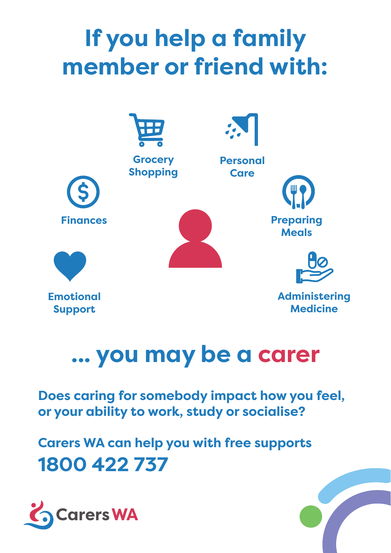# **If you help a family member or friend with:**



## **... you may be a carer**

**Does caring for somebody impact how you feel, or your ability to work, study or socialise?**

**Carers WA can help you with free supports 1800 422 737**